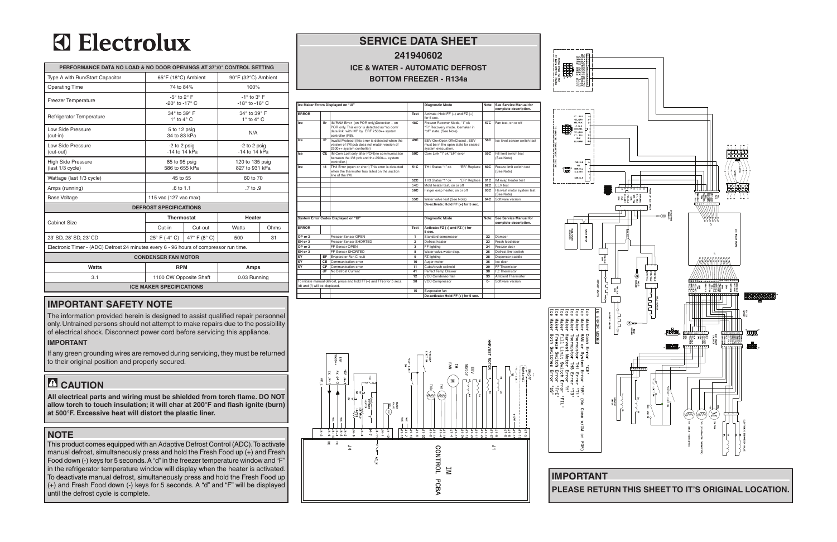#### **service data sheet 241940602**

## **ICE & WATER - AUTOMATIC DEFROST BOTTOM FREEZER - R134a**



### **important safety NOTE**

The information provided herein is designed to assist qualified repair personnel only. Untrained persons should not attempt to make repairs due to the possibility of electrical shock. Disconnect power cord before servicing this appliance.

#### **IMPORTANT**

This product comes equipped with an Adaptive Defrost Control (ADC). To activate manual defrost, simultaneously press and hold the Fresh Food up (+) and Fresh Food down (-) keys for 5 seconds. A "d" in the freezer temperature window and "F" in the refrigerator temperature window will display when the heater is activated. To deactivate manual defrost, simultaneously press and hold the Fresh Food up (+) and Fresh Food down (-) keys for 5 seconds. A "d" and "F" will be displayed until the defrost cycle is complete.





If any green grounding wires are removed during servicing, they must be returned to their original position and properly secured.

# **CAUTION**

**All electrical parts and wiring must be shielded from torch flame. DO NOT allow torch to touch insulation; it will char at 200°F and flash ignite (burn) at 500°F. Excessive heat will distort the plastic liner.**

#### **NOTE**

# **3** Electrolux

| PERFORMANCE DATA NO LOAD & NO DOOR OPENINGS AT 37°/0° CONTROL SETTING                  |                                          |                                |                                                               |      |  |  |  |  |  |
|----------------------------------------------------------------------------------------|------------------------------------------|--------------------------------|---------------------------------------------------------------|------|--|--|--|--|--|
| Type A with Run/Start Capacitor                                                        | 65°F (18°C) Ambient                      |                                | 90°F (32°C) Ambient                                           |      |  |  |  |  |  |
| <b>Operating Time</b>                                                                  | 74 to 84%                                |                                | 100%                                                          |      |  |  |  |  |  |
| <b>Freezer Temperature</b>                                                             | $-5^\circ$ to 2° F<br>-20° to -17° C     |                                | $-1^\circ$ to $3^\circ$ F<br>-18 $\degree$ to -16 $\degree$ C |      |  |  |  |  |  |
| Refrigerator Temperature                                                               | 34° to 39° F<br>$1^\circ$ to $4^\circ$ C |                                | 34° to 39° F<br>$1^\circ$ to $4^\circ$ C                      |      |  |  |  |  |  |
| Low Side Pressure<br>$(cut-in)$                                                        | 5 to 12 psig<br>34 to 83 kPa             |                                | N/A                                                           |      |  |  |  |  |  |
| Low Side Pressure<br>(cut-out)                                                         | -2 to 2 psig<br>$-14$ to $14$ kPa        |                                | -2 to 2 psig<br>$-14$ to $14$ kPa                             |      |  |  |  |  |  |
| <b>High Side Pressure</b><br>(last 1/3 cycle)                                          | 85 to 95 psig<br>586 to 655 kPa          |                                | 120 to 135 psig<br>827 to 931 kPa                             |      |  |  |  |  |  |
| Wattage (last 1/3 cycle)                                                               | 45 to 55                                 |                                | 60 to 70                                                      |      |  |  |  |  |  |
| Amps (running)                                                                         | $.6 \text{ to } 1.1$                     |                                | $.7$ to $.9$                                                  |      |  |  |  |  |  |
| <b>Base Voltage</b>                                                                    | 115 vac (127 vac max)                    |                                |                                                               |      |  |  |  |  |  |
| <b>DEFROST SPECIFICATIONS</b>                                                          |                                          |                                |                                                               |      |  |  |  |  |  |
| <b>Cabinet Size</b>                                                                    | <b>Thermostat</b>                        |                                | <b>Heater</b>                                                 |      |  |  |  |  |  |
|                                                                                        | Cut-in                                   | Cut-out                        | Watts                                                         | Ohms |  |  |  |  |  |
| 23' SD, 28' SD, 23' CD                                                                 | $25^{\circ}$ F (-4 $^{\circ}$ C)         | 47 $\degree$ F (8 $\degree$ C) | 500                                                           | 31   |  |  |  |  |  |
| Electronic Timer - (ADC) Defrost 24 minutes every 6 - 96 hours of compressor run time. |                                          |                                |                                                               |      |  |  |  |  |  |
| <b>CONDENSER FAN MOTOR</b>                                                             |                                          |                                |                                                               |      |  |  |  |  |  |
| Watts                                                                                  | <b>RPM</b>                               |                                | Amps                                                          |      |  |  |  |  |  |
| 3.1                                                                                    | 1100 CW Opposite Shaft                   |                                | 0.03 Running                                                  |      |  |  |  |  |  |
| <b>ICE MAKER SPECIFICATIONS</b>                                                        |                                          |                                |                                                               |      |  |  |  |  |  |



**PLEASE RETURN THIS SHEET TO IT'S ORIGINAL LOCATION.**

| Ice Maker Errors Displayed on "UI" |    |                                                                                                                                                         | <b>Diagnostic Mode</b> | Note:                                                                                      | <b>See Service Manual for</b><br>complete description. |                                                 |
|------------------------------------|----|---------------------------------------------------------------------------------------------------------------------------------------------------------|------------------------|--------------------------------------------------------------------------------------------|--------------------------------------------------------|-------------------------------------------------|
| <b>ERROR</b>                       |    |                                                                                                                                                         | <b>Test</b>            | Activate: Hold FF $(+)$ and FZ $(+)$<br>for 5 sec.                                         |                                                        |                                                 |
| Ice                                | Er | IM/RAM Error (on POR only)Detection - on<br>POR only. This error is detected as "no com/<br>data link with IM" by ERF 2500++ system<br>controller (PB). | 48C                    | Freezer Recover Mode, "1" ok<br>"Fr" Recovery mode, Icemaker in<br>"off" state. (See Note) | 57C                                                    | Fan test, on or off                             |
| Ice                                | IP | Invalid Protocol (this error is detected when the<br>version of I/M pcb does not match version of<br>2500++ system controller)                          | 49C                    | EEV On=Open Off=Closed, EEV<br>must be in the open state for sealed<br>system evacuation.  | 58C                                                    | Ice level sensor switch test                    |
| Ice                                | CE | IM Com Lost only after POR(no communication<br>between the I/M pcb and the 2500++ system<br>controller.)                                                | 50C                    | Com Link "1" ok "ER" error                                                                 | 59C                                                    | Fill limit switch test<br>(See Note)            |
| Ice                                | t3 | TH3 Error (open or short) This error is detected<br>when the thermister has failed on the suction<br>line of the I/M.                                   | 51C                    | TH1 Status "1" ok<br>"ER" Replace                                                          | 60C                                                    | Freeze limit switch test<br>(See Note)          |
|                                    |    |                                                                                                                                                         | 52C                    | TH3 Status "1" ok<br>"ER" Replace                                                          | 61C                                                    | IM evap heater test                             |
|                                    |    |                                                                                                                                                         | 54C                    | Mold heater test, on or off                                                                | 62C                                                    | EEV test                                        |
|                                    |    |                                                                                                                                                         | 56C                    | Finger evap heater, on or off                                                              | 63C                                                    | Harvest motor system test<br>(See Note)         |
|                                    |    |                                                                                                                                                         | 55C                    | Water valve test (See Note)                                                                | 64C                                                    | Software version                                |
|                                    |    |                                                                                                                                                         |                        | De-activate: Hold FF (+) for 5 sec.                                                        |                                                        |                                                 |
|                                    |    |                                                                                                                                                         |                        |                                                                                            |                                                        |                                                 |
|                                    |    | System Error Codes Displayed on "UI"                                                                                                                    |                        | <b>Diagnostic Mode</b>                                                                     | Note:                                                  | See Service Manual for<br>complete description. |
| <b>ERROR</b>                       |    |                                                                                                                                                         | <b>Test</b>            | Activate: FZ (+) and FZ (-) for<br>5 sec.                                                  |                                                        |                                                 |
| OP or 2                            |    | Freezer Sensor OPEN                                                                                                                                     | 1                      | Standard compressor                                                                        | 22                                                     | Damper                                          |
| SH or 3                            |    | Freezer Sensor SHORTED                                                                                                                                  | $\overline{2}$         | Defrost heater                                                                             | 23                                                     | Fresh food door                                 |
| OP or 2                            |    | FF Sensor OPEN                                                                                                                                          | 3                      | FF lighting                                                                                | 24                                                     | Freezer door                                    |
| SH or 3                            |    | FF Sensor SHORTED                                                                                                                                       | 8                      | Water valve.water disp.                                                                    | 26                                                     | Defrost limit switch                            |
| SY                                 | EF | Evaporator Fan Circuit                                                                                                                                  | 9                      | FZ lighting                                                                                | 28                                                     | Dispenser paddle                                |
| SY                                 | CE | Communication error                                                                                                                                     | 10                     | Auger motor                                                                                | 36                                                     | Ice door                                        |
| SY                                 | CF | Communication error                                                                                                                                     | 11                     | Cube/crush solinoid                                                                        | 29                                                     | FF Thermistor                                   |
|                                    | dF | No Defrost Current                                                                                                                                      | 41                     | Perfect Temp Drawer                                                                        | 30                                                     | FZ Thermistor                                   |
|                                    |    |                                                                                                                                                         | 12                     | VCC Condensor fan                                                                          | 33                                                     | <b>Ambient Thermister</b>                       |
| (d) and (f) will be displayed.     |    | To initiate manual defrost, press and hold $FF(+)$ and $FF(-)$ for 5 secs.                                                                              | 38                     | <b>VCC Compressor</b>                                                                      | $0-$                                                   | Software version                                |
|                                    |    |                                                                                                                                                         | 15                     | Evaporator fan                                                                             |                                                        |                                                 |
|                                    |    |                                                                                                                                                         |                        | De-activate: Hold FF (+) for 5 sec.                                                        |                                                        |                                                 |